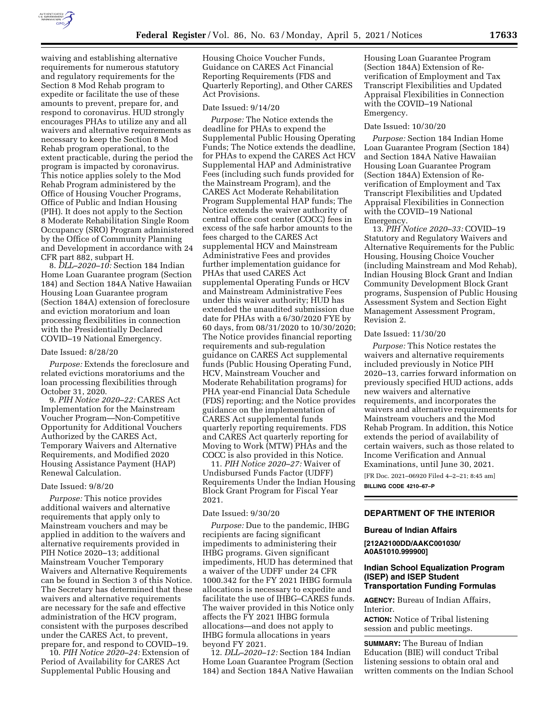

waiving and establishing alternative requirements for numerous statutory and regulatory requirements for the Section 8 Mod Rehab program to expedite or facilitate the use of these amounts to prevent, prepare for, and respond to coronavirus. HUD strongly encourages PHAs to utilize any and all waivers and alternative requirements as necessary to keep the Section 8 Mod Rehab program operational, to the extent practicable, during the period the program is impacted by coronavirus. This notice applies solely to the Mod Rehab Program administered by the Office of Housing Voucher Programs, Office of Public and Indian Housing (PIH). It does not apply to the Section 8 Moderate Rehabilitation Single Room Occupancy (SRO) Program administered by the Office of Community Planning and Development in accordance with 24 CFR part 882, subpart H.

8. *DLL–2020–10:* Section 184 Indian Home Loan Guarantee program (Section 184) and Section 184A Native Hawaiian Housing Loan Guarantee program (Section 184A) extension of foreclosure and eviction moratorium and loan processing flexibilities in connection with the Presidentially Declared COVID–19 National Emergency.

#### Date Issued: 8/28/20

*Purpose:* Extends the foreclosure and related evictions moratoriums and the loan processing flexibilities through October 31, 2020.

9. *PIH Notice 2020–22:* CARES Act Implementation for the Mainstream Voucher Program—Non-Competitive Opportunity for Additional Vouchers Authorized by the CARES Act, Temporary Waivers and Alternative Requirements, and Modified 2020 Housing Assistance Payment (HAP) Renewal Calculation.

## Date Issued: 9/8/20

*Purpose:* This notice provides additional waivers and alternative requirements that apply only to Mainstream vouchers and may be applied in addition to the waivers and alternative requirements provided in PIH Notice 2020–13; additional Mainstream Voucher Temporary Waivers and Alternative Requirements can be found in Section 3 of this Notice. The Secretary has determined that these waivers and alternative requirements are necessary for the safe and effective administration of the HCV program, consistent with the purposes described under the CARES Act, to prevent, prepare for, and respond to COVID–19.

10. *PIH Notice 2020–24:* Extension of Period of Availability for CARES Act Supplemental Public Housing and

Housing Choice Voucher Funds, Guidance on CARES Act Financial Reporting Requirements (FDS and Quarterly Reporting), and Other CARES Act Provisions.

### Date Issued: 9/14/20

*Purpose:* The Notice extends the deadline for PHAs to expend the Supplemental Public Housing Operating Funds; The Notice extends the deadline, for PHAs to expend the CARES Act HCV Supplemental HAP and Administrative Fees (including such funds provided for the Mainstream Program), and the CARES Act Moderate Rehabilitation Program Supplemental HAP funds; The Notice extends the waiver authority of central office cost center (COCC) fees in excess of the safe harbor amounts to the fees charged to the CARES Act supplemental HCV and Mainstream Administrative Fees and provides further implementation guidance for PHAs that used CARES Act supplemental Operating Funds or HCV and Mainstream Administrative Fees under this waiver authority; HUD has extended the unaudited submission due date for PHAs with a 6/30/2020 FYE by 60 days, from 08/31/2020 to 10/30/2020; The Notice provides financial reporting requirements and sub-regulation guidance on CARES Act supplemental funds (Public Housing Operating Fund, HCV, Mainstream Voucher and Moderate Rehabilitation programs) for PHA year-end Financial Data Schedule (FDS) reporting; and the Notice provides guidance on the implementation of CARES Act supplemental funds quarterly reporting requirements. FDS and CARES Act quarterly reporting for Moving to Work (MTW) PHAs and the COCC is also provided in this Notice.

11. *PIH Notice 2020–27:* Waiver of Undisbursed Funds Factor (UDFF) Requirements Under the Indian Housing Block Grant Program for Fiscal Year 2021.

#### Date Issued: 9/30/20

*Purpose:* Due to the pandemic, IHBG recipients are facing significant impediments to administering their IHBG programs. Given significant impediments, HUD has determined that a waiver of the UDFF under 24 CFR 1000.342 for the FY 2021 IHBG formula allocations is necessary to expedite and facilitate the use of IHBG–CARES funds. The waiver provided in this Notice only affects the FY 2021 IHBG formula allocations—and does not apply to IHBG formula allocations in years beyond FY 2021.

12. *DLL–2020–12:* Section 184 Indian Home Loan Guarantee Program (Section 184) and Section 184A Native Hawaiian Housing Loan Guarantee Program (Section 184A) Extension of Reverification of Employment and Tax Transcript Flexibilities and Updated Appraisal Flexibilities in Connection with the COVID–19 National Emergency.

#### Date Issued: 10/30/20

*Purpose:* Section 184 Indian Home Loan Guarantee Program (Section 184) and Section 184A Native Hawaiian Housing Loan Guarantee Program (Section 184A) Extension of Reverification of Employment and Tax Transcript Flexibilities and Updated Appraisal Flexibilities in Connection with the COVID–19 National Emergency.

13. *PIH Notice 2020–33:* COVID–19 Statutory and Regulatory Waivers and Alternative Requirements for the Public Housing, Housing Choice Voucher (including Mainstream and Mod Rehab), Indian Housing Block Grant and Indian Community Development Block Grant programs, Suspension of Public Housing Assessment System and Section Eight Management Assessment Program, Revision 2.

#### Date Issued: 11/30/20

*Purpose:* This Notice restates the waivers and alternative requirements included previously in Notice PIH 2020–13, carries forward information on previously specified HUD actions, adds new waivers and alternative requirements, and incorporates the waivers and alternative requirements for Mainstream vouchers and the Mod Rehab Program. In addition, this Notice extends the period of availability of certain waivers, such as those related to Income Verification and Annual Examinations, until June 30, 2021.

[FR Doc. 2021–06920 Filed 4–2–21; 8:45 am] **BILLING CODE 4210–67–P** 

# **DEPARTMENT OF THE INTERIOR**

### **Bureau of Indian Affairs**

**[212A2100DD/AAKC001030/ A0A51010.999900]** 

### **Indian School Equalization Program (ISEP) and ISEP Student Transportation Funding Formulas**

**AGENCY:** Bureau of Indian Affairs, Interior.

**ACTION:** Notice of Tribal listening session and public meetings.

**SUMMARY:** The Bureau of Indian Education (BIE) will conduct Tribal listening sessions to obtain oral and written comments on the Indian School